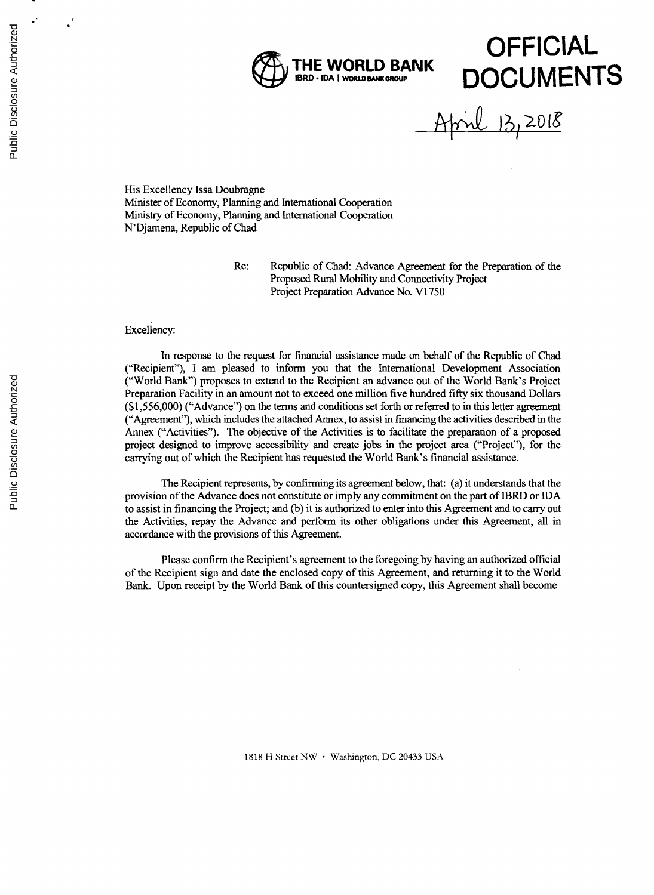

il 13,2018

His Excellency Issa Doubragne Minister of Economy, Planning and International Cooperation Ministry of Economy, Planning and International Cooperation N'Djamena, Republic of Chad

Re: Republic of Chad: Advance Agreement for the Preparation **of** the Proposed Rural Mobility and Connectivity Project Project Preparation Advance No. VI **<sup>750</sup>**

## Excellency:

In response to the request for financial assistance made on behalf of the Republic of Chad ("Recipient"), **<sup>I</sup>**am pleased to inform you that the International Development Association ("World Bank") proposes to extend to the Recipient an advance out of the World Bank's Project Preparation Facility in an amount not to exceed one million five hundred **fifty** six thousand Dollars **(\$1,556,000)** ("Advance") on the terms and conditions set forth or referred to in this letter agreement ("Agreement"), which includes the attached Annex, to assist in financing the activities described in the Annex ("Activities"). The objective of the Activities is to facilitate the preparation of a proposed project designed to improve accessibility and create jobs in the project area ("Project"), for the carrying out of which the Recipient has requested the World Bank's financial assistance.

The Recipient represents, **by** confirming its agreement below, that: (a) it understands that the provision of the Advance does not constitute or imply any commitment on the part of IBRD or **IDA** to assist in financing the Project; and **(b)** it is authorized to enter into this Agreement and to carry out the Activities, repay the Advance and perform its other obligations under this Agreement, all in accordance with the provisions of this Agreement.

Please confirm the Recipient's agreement to the foregoing **by** having an authorized official of the Recipient sign and date the enclosed copy of this Agreement, and returning it to the World Bank. Upon receipt **by** the World Bank of this countersigned copy, this Agreement shall become

**1818** H Street NW \* Washington, **DC** 20433 **USA**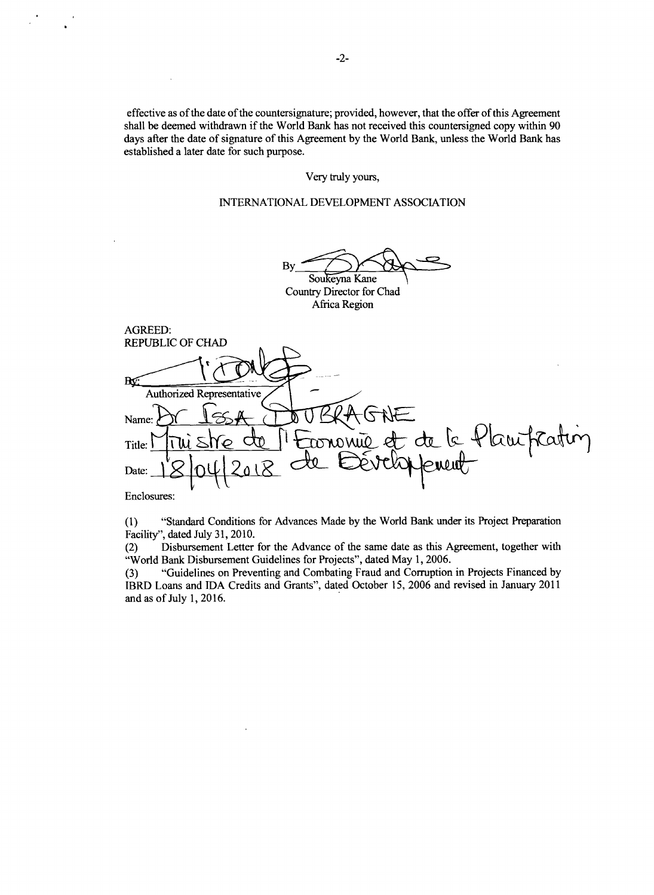effective as of the date of the countersignature; provided, however, that the offer of this Agreement shall be deemed withdrawn if the World Bank has not received this countersigned copy within **<sup>90</sup>** days after the date of signature of this Agreement **by** the World Bank, unless the World Bank has established a later date for such purpose.

# Very truly yours,

# **INTERNATIONAL DEVELOPMENT ASSOCIATION**

By Soukeyna Kane Country Director for Chad

Africa Region

| <b>AGREED:</b>                         |
|----------------------------------------|
| <b>REPUBLIC OF CHAD</b>                |
| Rĸ                                     |
| Authorized Representative              |
| <b>ENE</b><br>Name:                    |
| Economie et de la Plautratin<br>Title: |
| Date:                                  |
| $F_{\text{n}^\text{cl} \text{center}}$ |

Enclosures:

**(1)** "Standard Conditions for Advances Made **by** the World Bank under its Project Preparation

Facility", dated July **31, 2010.** Disbursement Letter for the Advance of the same date as this Agreement, together with "World Bank Disbursement Guidelines for Projects", dated May **1, 2006.**

**(3)** "Guidelines on Preventing and Combating Fraud and Corruption in Projects Financed **by** IBRD Loans and **IDA** Credits and Grants", dated October **15, 2006** and revised in January 2011 and as of July **1, 2016.**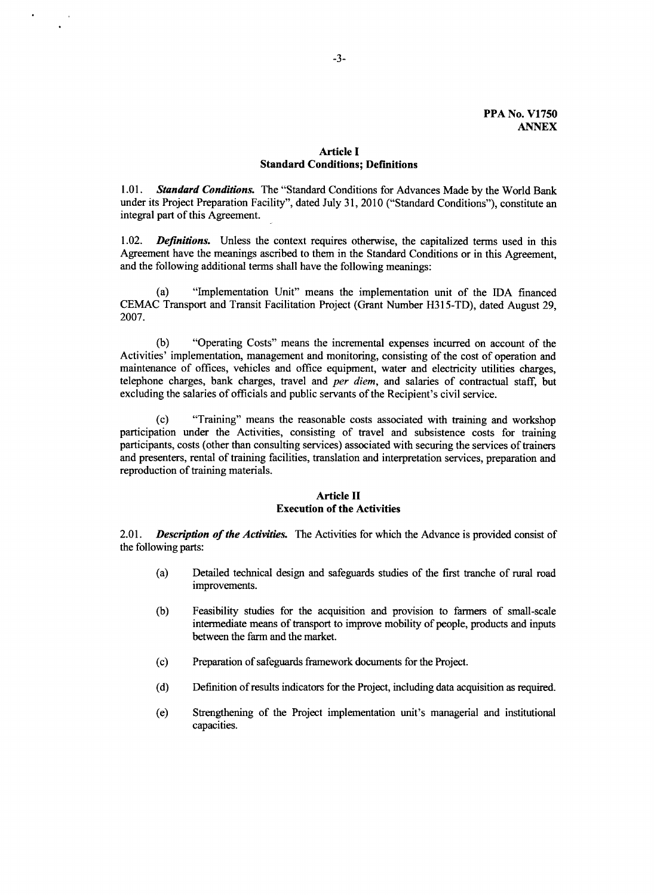# **Article I Standard Conditions; Definitions**

*1.01. Standard Conditions.* The "Standard Conditions for Advances Made **by** the World Bank under its Project Preparation Facility", dated July **31,** 2010 ("Standard Conditions"), constitute an integral part of this Agreement.

1.02. *Definitions.* Unless the context requires otherwise, the capitalized terms used in this Agreement have the meanings ascribed to them in the Standard Conditions or in this Agreement, and the following additional terms shall have the following meanings:

(a) "Implementation Unit" means the implementation unit of the **IDA** financed **CEMAC** Transport and Transit Facilitation Project (Grant Number **H315-TD),** dated August **29, 2007.**

**(b)** "Operating Costs" means the incremental expenses incurred on account of the Activities' implementation, management and monitoring, consisting of the cost of operation and maintenance of offices, vehicles and office equipment, water and electricity utilities charges, telephone charges, bank charges, travel and *per diem,* and salaries of contractual staff, but excluding the salaries of officials and public servants of the Recipient's civil service.

**(c)** "Training" means the reasonable costs associated with training and workshop participation under the Activities, consisting of travel and subsistence costs for training participants, costs (other than consulting services) associated with securing the services of trainers and presenters, rental of training facilities, translation and interpretation services, preparation and reproduction of training materials.

# **Article II Execution of the Activities**

2.01. *Description of the Activities.* The Activities for which the Advance is provided consist of the following parts:

- (a) Detailed technical design and safeguards studies of the first tranche of rural road improvements.
- **(b)** Feasibility studies for the acquisition and provision to farmers of small-scale intermediate means of transport to improve mobility of people, products and inputs between the farm and the market.
- **(c)** Preparation of safeguards framework documents for the Project.
- **(d)** Definition of results indicators for the Project, including data acquisition as required.
- (e) Strengthening of the Project implementation unit's managerial and institutional capacities.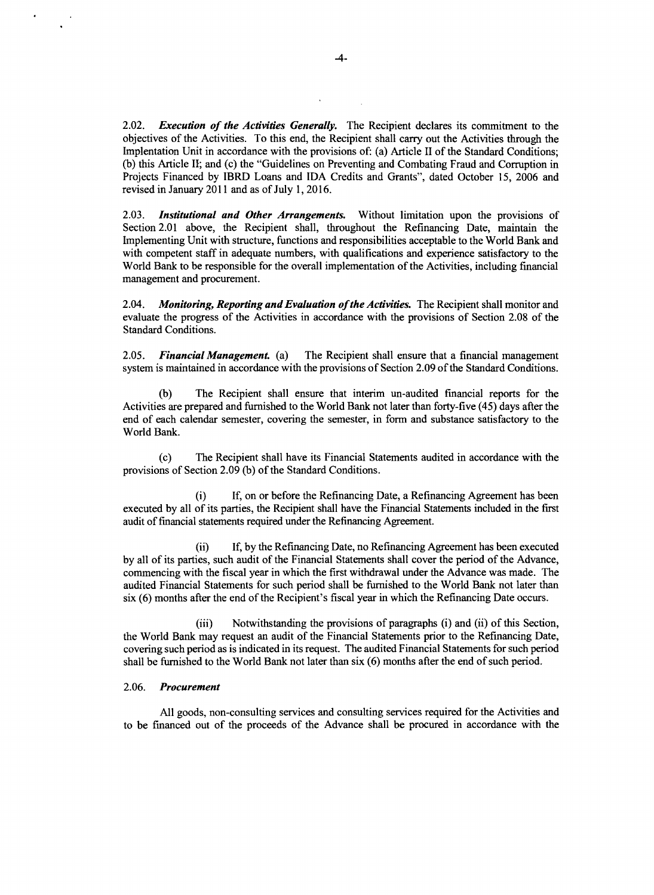*2.02. Execution of the Activities Generally.* The Recipient declares its commitment to the objectives of the Activities. To this end, the Recipient shall carry out the Activities through the Implentation Unit in accordance with the provisions of: (a) Article II of the Standard Conditions; **(b)** this Article **II;** and (c) the "Guidelines on Preventing and Combating Fraud and Corruption in Projects Financed **by** IBRD Loans and **IDA** Credits and Grants", dated October **15, 2006** and revised in January 2011 and as of July **1, 2016.**

**2.03.** *Institutional and Other Arrangements.* Without limitation upon the provisions of Section 2.01 above, the Recipient shall, throughout the Refinancing Date, maintain the Implementing Unit with structure, functions and responsibilities acceptable to the World Bank and with competent staff in adequate numbers, with qualifications and experience satisfactory to the World Bank to be responsible for the overall implementation of the Activities, including financial management and procurement.

*2.04. Monitoring, Reporting and Evaluation ofthe Activities.* The Recipient shall monitor and evaluate the progress of the Activities in accordance with the provisions of Section **2.08** of the Standard Conditions.

*2.05. Financial Management. (a)* The Recipient shall ensure that a financial management system is maintained in accordance with the provisions of Section **2.09** of the Standard Conditions.

**(b)** The Recipient shall ensure that interim un-audited financial reports for the Activities are prepared and furnished to the World Bank not later than forty-five (45) days after the end of each calendar semester, covering the semester, in form and substance satisfactory to the World Bank.

**(c)** The Recipient shall have its Financial Statements audited in accordance with the provisions of Section **2.09 (b)** of the Standard Conditions.

(i) **If,** on or before the Refinancing Date, a Refinancing Agreement has been executed **by** all of its parties, the Recipient shall have the Financial Statements included in the first audit of financial statements required under the Refinancing Agreement.

(ii) If, **by** the Refinancing Date, no Refinancing Agreement has been executed **by** all of its parties, such audit of the Financial Statements shall cover the period of the Advance, commencing with the fiscal year in which the first withdrawal under the Advance was made. The audited Financial Statements for such period shall be furnished to the World Bank not later than six **(6)** months after the end of the Recipient's fiscal year in which the Refinancing Date occurs.

(iii) Notwithstanding the provisions of paragraphs (i) and (ii) of this Section, the World Bank may request an audit of the Financial Statements prior to the Refinancing Date, covering such period as is indicated in its request. The audited Financial Statements for such period shall be furnished to the World Bank not later than six **(6)** months after the end of such period.

#### *2.06. Procurement*

**All** goods, non-consulting services and consulting services required for the Activities and to be financed out of the proceeds of the Advance shall be procured in accordance with the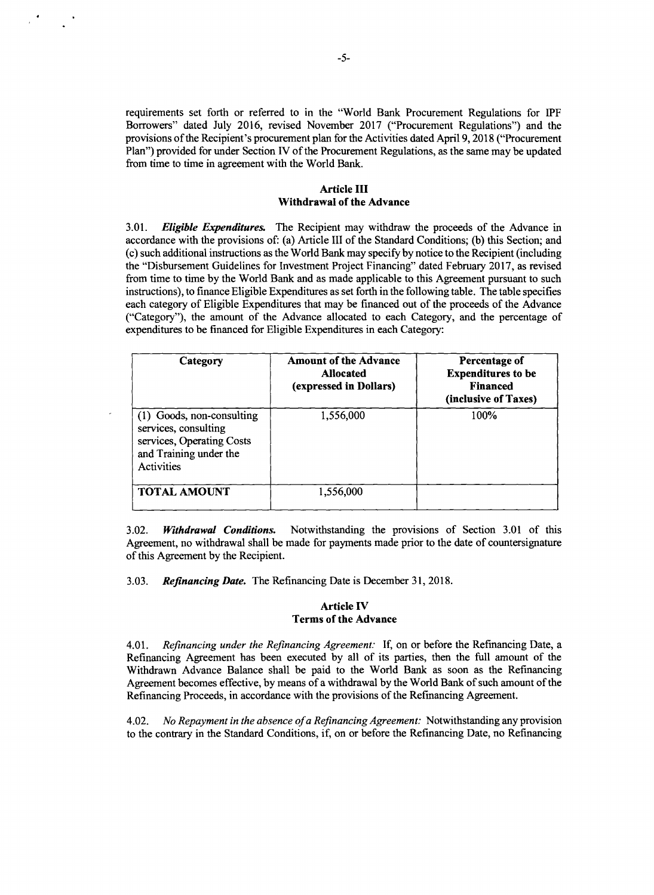requirements set forth or referred to in the "World Bank Procurement Regulations for IPF Borrowers" dated July **2016,** revised November **2017** ("Procurement Regulations") and the provisions of the Recipient's procurement plan for the Activities dated April **9, 2018** ("Procurement Plan") provided for under Section IV of the Procurement Regulations, as the same may be updated from time to time in agreement with the World Bank.

### Article **III Withdrawal of the Advance**

*3.01. Eligible Expenditures.* The Recipient may withdraw the proceeds of the Advance in accordance with the provisions of: (a) Article **III** of the Standard Conditions; **(b)** this Section; and (c) such additional instructions as the World Bank may specify **by** notice to the Recipient (including the "Disbursement Guidelines for Investment Project Financing" dated February **2017,** as revised from time to time **by** the World Bank and as made applicable to this Agreement pursuant to such instructions), to finance Eligible Expenditures as set forth in the following table. The table specifies each category of Eligible Expenditures that may be financed out of the proceeds of the Advance ("Category"), the amount of the Advance allocated to each Category, and the percentage of expenditures to be financed for Eligible Expenditures in each Category:

| Category                                                                                                               | <b>Amount of the Advance</b><br>Allocated<br>(expressed in Dollars) | Percentage of<br><b>Expenditures to be</b><br><b>Financed</b><br>(inclusive of Taxes) |
|------------------------------------------------------------------------------------------------------------------------|---------------------------------------------------------------------|---------------------------------------------------------------------------------------|
| (1) Goods, non-consulting<br>services, consulting<br>services, Operating Costs<br>and Training under the<br>Activities | 1,556,000                                                           | 100%                                                                                  |
| <b>TOTAL AMOUNT</b>                                                                                                    | 1,556,000                                                           |                                                                                       |

**3.02.** *Withdrawal Conditions.* Notwithstanding the provisions of Section **3.01** of this Agreement, no withdrawal shall be made for payments made prior to the date of countersignature of this Agreement **by** the Recipient.

*3.03. Refinancing Date.* The Refinancing Date is December **31, 2018.**

## **Article IV Terms of the Advance**

4.01. *Refinancing under the Refinancing Agreement:* **If,** on or before the Refinancing Date, **<sup>a</sup>** Refinancing Agreement has been executed **by** all of its parties, then the full amount of the Withdrawn Advance Balance shall be paid to the World Bank as soon as the Refinancing Agreement becomes effective, **by** means of a withdrawal **by** the World Bank of such amount of the Refinancing Proceeds, in accordance with the provisions of the Refinancing Agreement.

4.02. *No Repayment in the absence ofa Refinancing Agreement:* Notwithstanding any provision to the contrary in the Standard Conditions, if, on or before the Refinancing Date, no Refinancing